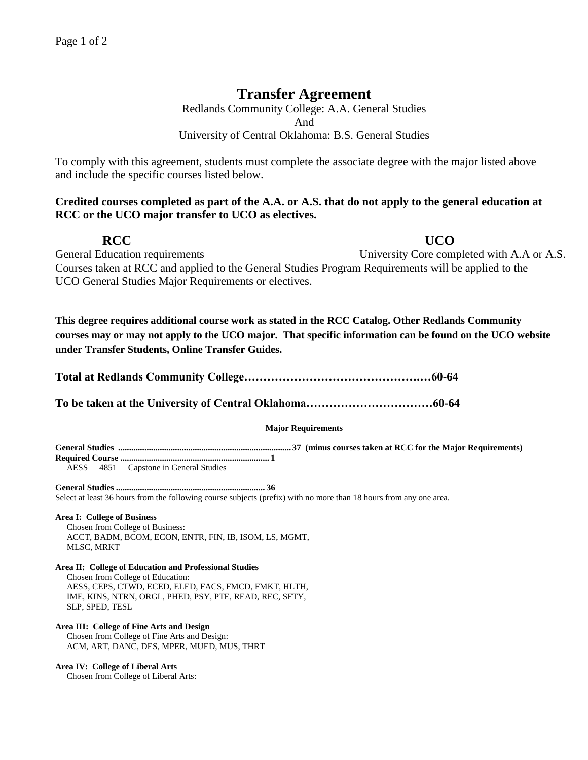# **Transfer Agreement**

Redlands Community College: A.A. General Studies And University of Central Oklahoma: B.S. General Studies

To comply with this agreement, students must complete the associate degree with the major listed above and include the specific courses listed below.

# **Credited courses completed as part of the A.A. or A.S. that do not apply to the general education at RCC or the UCO major transfer to UCO as electives.**

**RCC UCO** 

General Education requirements University Core completed with A.A or A.S. Courses taken at RCC and applied to the General Studies Program Requirements will be applied to the UCO General Studies Major Requirements or electives.

**This degree requires additional course work as stated in the RCC Catalog. Other Redlands Community courses may or may not apply to the UCO major. That specific information can be found on the UCO website under Transfer Students, Online Transfer Guides.** 

| <b>Major Requirements</b>                                                                                          |
|--------------------------------------------------------------------------------------------------------------------|
| AESS 4851 Capstone in General Studies                                                                              |
| Select at least 36 hours from the following course subjects (prefix) with no more than 18 hours from any one area. |
| <b>Area I: College of Business</b>                                                                                 |

Chosen from College of Business: ACCT, BADM, BCOM, ECON, ENTR, FIN, IB, ISOM, LS, MGMT, MLSC, MRKT

### **Area II: College of Education and Professional Studies**

Chosen from College of Education: AESS, CEPS, CTWD, ECED, ELED, FACS, FMCD, FMKT, HLTH, IME, KINS, NTRN, ORGL, PHED, PSY, PTE, READ, REC, SFTY,

SLP, SPED, TESL

## **Area III: College of Fine Arts and Design**

Chosen from College of Fine Arts and Design: ACM, ART, DANC, DES, MPER, MUED, MUS, THRT

### **Area IV: College of Liberal Arts**

Chosen from College of Liberal Arts: